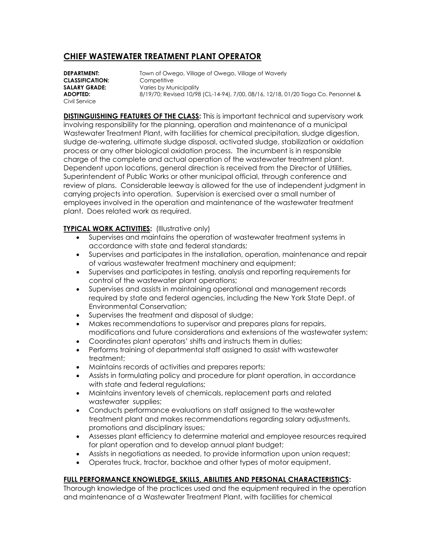# **CHIEF WASTEWATER TREATMENT PLANT OPERATOR**

**DEPARTMENT:** Town of Owego, Village of Owego, Village of Waverly **CLASSIFICATION:** Competitive **SALARY GRADE:** Varies by Municipality **ADOPTED:** 8/19/70; Revised 10/98 (CL-14-94), 7/00, 08/16, 12/18, 01/20 Tioga Co. Personnel & Civil Service

**DISTINGUISHING FEATURES OF THE CLASS:** This is important technical and supervisory work involving responsibility for the planning, operation and maintenance of a municipal Wastewater Treatment Plant, with facilities for chemical precipitation, sludge digestion, sludge de-watering, ultimate sludge disposal, activated sludge, stabilization or oxidation process or any other biological oxidation process. The incumbent is in responsible charge of the complete and actual operation of the wastewater treatment plant. Dependent upon locations, general direction is received from the Director of Utilities, Superintendent of Public Works or other municipal official, through conference and review of plans. Considerable leeway is allowed for the use of independent judgment in carrying projects into operation. Supervision is exercised over a small number of employees involved in the operation and maintenance of the wastewater treatment plant. Does related work as required.

## **TYPICAL WORK ACTIVITIES:** (Illustrative only)

- Supervises and maintains the operation of wastewater treatment systems in accordance with state and federal standards;
- Supervises and participates in the installation, operation, maintenance and repair of various wastewater treatment machinery and equipment;
- Supervises and participates in testing, analysis and reporting requirements for control of the wastewater plant operations;
- Supervises and assists in maintaining operational and management records required by state and federal agencies, including the New York State Dept. of Environmental Conservation;
- Supervises the treatment and disposal of sludge;
- Makes recommendations to supervisor and prepares plans for repairs, modifications and future considerations and extensions of the wastewater system;
- Coordinates plant operators' shifts and instructs them in duties;
- Performs training of departmental staff assigned to assist with wastewater treatment;
- Maintains records of activities and prepares reports;
- Assists in formulating policy and procedure for plant operation, in accordance with state and federal regulations;
- Maintains inventory levels of chemicals, replacement parts and related wastewater supplies;
- Conducts performance evaluations on staff assigned to the wastewater treatment plant and makes recommendations regarding salary adjustments, promotions and disciplinary issues;
- Assesses plant efficiency to determine material and employee resources required for plant operation and to develop annual plant budget;
- Assists in negotiations as needed, to provide information upon union request;
- Operates truck, tractor, backhoe and other types of motor equipment.

## **FULL PERFORMANCE KNOWLEDGE, SKILLS, ABILITIES AND PERSONAL CHARACTERISTICS:**

Thorough knowledge of the practices used and the equipment required in the operation and maintenance of a Wastewater Treatment Plant, with facilities for chemical